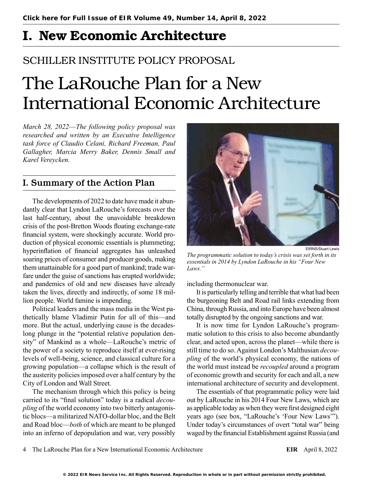# I. New Economic Architecture

## SCHILLER INSTITUTE POLICY PROPOSAL

# The LaRouche Plan for a New International Economic Architecture

*March 28, 2022*—*The following policy proposal was researched and written by an Executive Intelligence task force of Claudio Celani, Richard Freeman, Paul Gallagher, Marcia Merry Baker, Dennis Small and Karel Vereycken.*

## I. Summary of the Action Plan

The developments of 2022 to date have made it abundantly clear that Lyndon LaRouche's forecasts over the last half-century, about the unavoidable breakdown crisis of the post-Bretton Woods floating exchange-rate financial system, were shockingly accurate. World production of physical economic essentials is plummeting; hyperinflation of financial aggregates has unleashed soaring prices of consumer and producer goods, making them unattainable for a good part of mankind; trade warfare under the guise of sanctions has erupted worldwide; and pandemics of old and new diseases have already taken the lives, directly and indirectly, of some 18 million people. World famine is impending.

Political leaders and the mass media in the West pathetically blame Vladimir Putin for all of this—and more. But the actual, underlying cause is the decadeslong plunge in the "potential relative population density" of Mankind as a whole—LaRouche's metric of the power of a society to reproduce itself at ever-rising levels of well-being, science, and classical culture for a growing population—a collapse which is the result of the austerity policies imposed over a half century by the City of London and Wall Street.

The mechanism through which this policy is being carried to its "final solution" today is a radical *decoupling* of the world economy into two bitterly antagonistic blocs—a militarized NATO-dollar bloc, and the Belt and Road bloc—*both* of which are meant to be plunged into an inferno of depopulation and war, very possibly



*The programmatic solution to today's crisis was set forth in its essentials in 2014 by Lyndon LaRouche in his "Four New Laws."*

including thermonuclear war.

It is particularly telling and terrible that what had been the burgeoning Belt and Road rail links extending from China, through Russia, and into Europe have been almost totally disrupted by the ongoing sanctions and war.

It is now time for Lyndon LaRouche's programmatic solution to this crisis to also become abundantly clear, and acted upon, across the planet—while there is still time to do so. Against London's Malthusian *decoupling* of the world's physical economy, the nations of the world must instead be *recoupled* around a program of economic growth and security for each and all, a new international architecture of security and development.

The essentials of that programmatic policy were laid out by LaRouche in his 2014 Four New Laws, which are as applicable today as when they were first designed eight years ago (see box, "LaRouche's 'Four New Laws'"). Under today's circumstances of overt "total war" being waged by the financial Establishment against Russia (and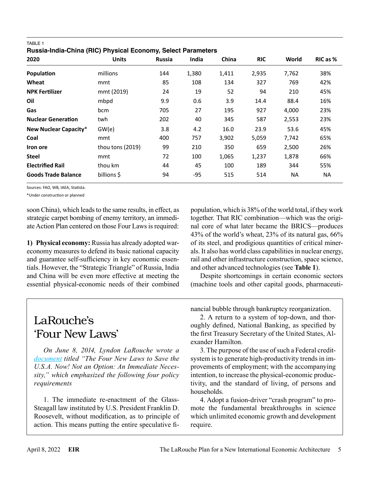| 2020                         | <b>Units</b>     | <b>Russia</b> | India | China | <b>RIC</b> | World     | RIC as %  |
|------------------------------|------------------|---------------|-------|-------|------------|-----------|-----------|
| Population                   | millions         | 144           | 1,380 | 1,411 | 2,935      | 7,762     | 38%       |
| Wheat                        | mmt              | 85            | 108   | 134   | 327        | 769       | 42%       |
| <b>NPK Fertilizer</b>        | mmt (2019)       | 24            | 19    | 52    | 94         | 210       | 45%       |
| Oil                          | mbpd             | 9.9           | 0.6   | 3.9   | 14.4       | 88.4      | 16%       |
| Gas                          | bcm              | 705           | 27    | 195   | 927        | 4,000     | 23%       |
| <b>Nuclear Generation</b>    | twh              | 202           | 40    | 345   | 587        | 2,553     | 23%       |
| <b>New Nuclear Capacity*</b> | GW(e)            | 3.8           | 4.2   | 16.0  | 23.9       | 53.6      | 45%       |
| Coal                         | mmt              | 400           | 757   | 3,902 | 5,059      | 7,742     | 65%       |
| Iron ore                     | thou tons (2019) | 99            | 210   | 350   | 659        | 2,500     | 26%       |
| <b>Steel</b>                 | mmt              | 72            | 100   | 1,065 | 1,237      | 1,878     | 66%       |
| <b>Electrified Rail</b>      | thou km          | 44            | 45    | 100   | 189        | 344       | 55%       |
| <b>Goods Trade Balance</b>   | billions \$      | 94            | -95   | 515   | 514        | <b>NA</b> | <b>NA</b> |

TABLE 1 **Russia-India-China (RIC) Physical Economy, Select Parameters**

Sources: FAO, WB, IAEA, Statista.

\*Under construction or planned

soon China), which leads to the same results, in effect, as strategic carpet bombing of enemy territory, an immediate Action Plan centered on those Four Laws is required:

**1) Physical economy:** Russia has already adopted wareconomy measures to defend its basic national capacity and guarantee self-sufficiency in key economic essentials. However, the "Strategic Triangle" of Russia, India and China will be even more effective at meeting the essential physical-economic needs of their combined population, which is 38% of the world total, if they work together. That RIC combination—which was the original core of what later became the BRICS—produces 43% of the world's wheat, 23% of its natural gas, 66% of its steel, and prodigious quantities of critical minerals. It also has world class capabilities in nuclear energy, rail and other infrastructure construction, space science, and other advanced technologies (see **Table 1**).

Despite shortcomings in certain economic sectors (machine tools and other capital goods, pharmaceuti-

# LaRouche's 'Four New Laws'

*On June 8, 2014, Lyndon LaRouche wrote a [document](https://larouchepub.com/lar/2021/4850-the_four_new_laws_to_save_the-lar.html) titled "The Four New Laws to Save the U.S.A. Now! Not an Option: An Immediate Necessity," which emphasized the following four policy requirements*

1. The immediate re-enactment of the Glass-Steagall law instituted by U.S. President Franklin D. Roosevelt, without modification, as to principle of action. This means putting the entire speculative financial bubble through bankruptcy reorganization.

2. A return to a system of top-down, and thoroughly defined, National Banking, as specified by the first Treasury Secretary of the United States, Alexander Hamilton.

3. The purpose of the use of such a Federal creditsystem is to generate high-productivity trends in improvements of employment; with the accompanying intention, to increase the physical-economic productivity, and the standard of living, of persons and households.

4. Adopt a fusion-driver "crash program" to promote the fundamental breakthroughs in science which unlimited economic growth and development require.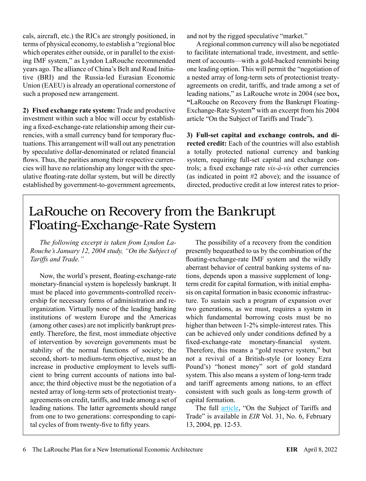cals, aircraft, etc.) the RICs are strongly positioned, in terms of physical economy, to establish a "regional bloc which operates either outside, or in parallel to the existing IMF system," as Lyndon LaRouche recommended years ago. The alliance of China's Belt and Road Initiative (BRI) and the Russia-led Eurasian Economic Union (EAEU) is already an operational cornerstone of such a proposed new arrangement.

**2) Fixed exchange rate system:** Trade and productive investment within such a bloc will occur by establishing a fixed-exchange-rate relationship among their currencies, with a small currency band for temporary fluctuations. This arrangement will wall out any penetration by speculative dollar-denominated or related financial flows. Thus, the parities among their respective currencies will have no relationship any longer with the speculative floating-rate dollar system, but will be directly established by government-to-government agreements, and not by the rigged speculative "market."

A regional common currency will also be negotiated to facilitate international trade, investment, and settlement of accounts—with a gold-backed renminbi being one leading option. This will permit the "negotiation of a nested array of long-term sets of protectionist treatyagreements on credit, tariffs, and trade among a set of leading nations," as LaRouche wrote in 2004 (see box**, "**LaRouche on Recovery from the Bankrupt Floating-Exchange-Rate System**"** with an excerpt from his 2004 article "On the Subject of Tariffs and Trade").

**3) Full-set capital and exchange controls, and directed credit:** Each of the countries will also establish a totally protected national currency and banking system, requiring full-set capital and exchange controls; a fixed exchange rate *vis-à-vis* other currencies (as indicated in point #2 above); and the issuance of directed, productive credit at low interest rates to prior-

# LaRouche on Recovery from the Bankrupt Floating-Exchange-Rate System

*The following excerpt is taken from Lyndon La-Rouche's January 12, 2004 study, "On the Subject of Tariffs and Trade."*

Now, the world's present, floating-exchange-rate monetary-financial system is hopelessly bankrupt. It must be placed into governments-controlled receivership for necessary forms of administration and reorganization. Virtually none of the leading banking institutions of western Europe and the Americas (among other cases) are not implicitly bankrupt presently. Therefore, the first, most immediate objective of intervention by sovereign governments must be stability of the normal functions of society; the second, short- to medium-term objective, must be an increase in productive employment to levels sufficient to bring current accounts of nations into balance; the third objective must be the negotiation of a nested array of long-term sets of protectionist treatyagreements on credit, tariffs, and trade among a set of leading nations. The latter agreements should range from one to two generations: corresponding to capital cycles of from twenty-five to fifty years.

The possibility of a recovery from the condition presently bequeathed to us by the combination of the floating-exchange-rate IMF system and the wildly aberrant behavior of central banking systems of nations, depends upon a massive supplement of longterm credit for capital formation, with initial emphasis on capital formation in basic economic infrastructure. To sustain such a program of expansion over two generations, as we must, requires a system in which fundamental borrowing costs must be no higher than between 1-2% simple-interest rates. This can be achieved only under conditions defined by a fixed-exchange-rate monetary-financial system. Therefore, this means a "gold reserve system," but not a revival of a British-style (or looney Ezra Pound's) "honest money" sort of gold standard system. This also means a system of long-term trade and tariff agreements among nations, to an effect consistent with such goals as long-term growth of capital formation.

The full [article](https://larouchepub.com/lar/2004/3106tariffs_trade.html), "On the Subject of Tariffs and Trade" is available in *EIR* Vol. 31, No. 6, February 13, 2004, pp. 12-53.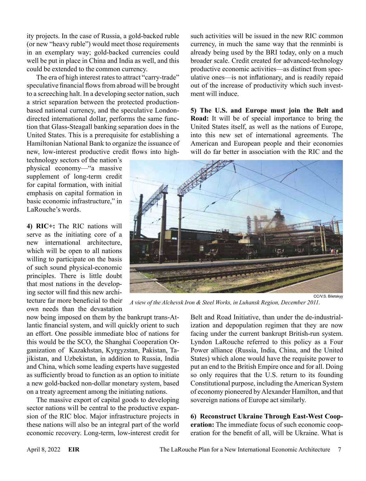ity projects. In the case of Russia, a gold-backed ruble (or new "heavy ruble") would meet those requirements in an exemplary way; gold-backed currencies could well be put in place in China and India as well, and this could be extended to the common currency.

The era of high interest rates to attract "carry-trade" speculative financial flows from abroad will be brought to a screeching halt. In a developing sector nation, such a strict separation between the protected productionbased national currency, and the speculative Londondirected international dollar, performs the same function that Glass-Steagall banking separation does in the United States. This is a prerequisite for establishing a Hamiltonian National Bank to organize the issuance of new, low-interest productive credit flows into high-

technology sectors of the nation's physical economy—"a massive supplement of long-term credit for capital formation, with initial emphasis on capital formation in basic economic infrastructure," in LaRouche's words.

**4) RIC+:** The RIC nations will serve as the initiating core of a new international architecture, which will be open to all nations willing to participate on the basis of such sound physical-economic principles. There is little doubt that most nations in the developing sector will find this new architecture far more beneficial to their own needs than the devastation

now being imposed on them by the bankrupt trans-Atlantic financial system, and will quickly orient to such an effort. One possible immediate bloc of nations for this would be the SCO, the Shanghai Cooperation Organization of Kazakhstan, Kyrgyzstan, Pakistan, Tajikistan, and Uzbekistan, in addition to Russia, India and China, which some leading experts have suggested as sufficiently broad to function as an option to initiate a new gold-backed non-dollar monetary system, based on a treaty agreement among the initiating nations.

The massive export of capital goods to developing sector nations will be central to the productive expansion of the RIC bloc. Major infrastructure projects in these nations will also be an integral part of the world economic recovery. Long-term, low-interest credit for such activities will be issued in the new RIC common currency, in much the same way that the renminbi is already being used by the BRI today, only on a much broader scale. Credit created for advanced-technology productive economic activities—as distinct from speculative ones—is not inflationary, and is readily repaid out of the increase of productivity which such investment will induce.

**5) The U.S. and Europe must join the Belt and Road:** It will be of special importance to bring the United States itself, as well as the nations of Europe, into this new set of international agreements. The American and European people and their economies will do far better in association with the RIC and the



*A view of the Alchevsk Iron & Steel Works, in Luhansk Region, December 2011.*

Belt and Road Initiative, than under the de-industrialization and depopulation regimen that they are now facing under the current bankrupt British-run system. Lyndon LaRouche referred to this policy as a Four Power alliance (Russia, India, China, and the United States) which alone would have the requisite power to put an end to the British Empire once and for all. Doing so only requires that the U.S. return to its founding Constitutional purpose, including the American System of economy pioneered by Alexander Hamilton, and that sovereign nations of Europe act similarly.

**6) Reconstruct Ukraine Through East-West Cooperation:** The immediate focus of such economic cooperation for the benefit of all, will be Ukraine. What is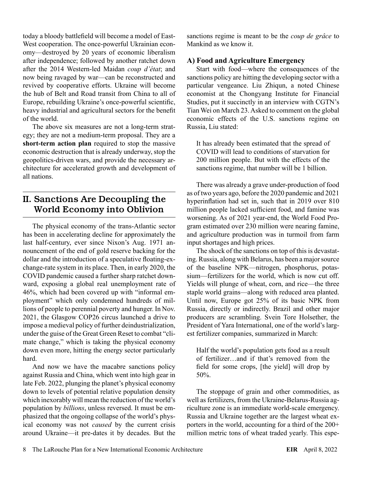today a bloody battlefield will become a model of East-West cooperation. The once-powerful Ukrainian economy—destroyed by 20 years of economic liberalism after independence; followed by another ratchet down after the 2014 Western-led Maidan *coup d'état*; and now being ravaged by war—can be reconstructed and revived by cooperative efforts. Ukraine will become the hub of Belt and Road transit from China to all of Europe, rebuilding Ukraine's once-powerful scientific, heavy industrial and agricultural sectors for the benefit of the world.

The above six measures are not a long-term strategy; they are not a medium-term proposal. They are a **short-term action plan** required to stop the massive economic destruction that is already underway, stop the geopolitics-driven wars, and provide the necessary architecture for accelerated growth and development of all nations.

## II. Sanctions Are Decoupling the World Economy into Oblivion

The physical economy of the trans-Atlantic sector has been in accelerating decline for approximately the last half-century, ever since Nixon's Aug. 1971 announcement of the end of gold reserve backing for the dollar and the introduction of a speculative floating-exchange-rate system in its place. Then, in early 2020, the COVID pandemic caused a further sharp ratchet downward, exposing a global real unemployment rate of 46%, which had been covered up with "informal employment" which only condemned hundreds of millions of people to perennial poverty and hunger. In Nov. 2021, the Glasgow COP26 circus launched a drive to impose a medieval policy of further deindustrialization, under the guise of the Great Green Reset to combat "climate change," which is taking the physical economy down even more, hitting the energy sector particularly hard.

And now we have the macabre sanctions policy against Russia and China, which went into high gear in late Feb. 2022, plunging the planet's physical economy down to levels of potential relative population density which inexorably will mean the reduction of the world's population by *billions*, unless reversed. It must be emphasized that the ongoing collapse of the world's physical economy was not *caused* by the current crisis around Ukraine—it pre-dates it by decades. But the sanctions regime is meant to be the *coup de grâce* to Mankind as we know it.

#### **A) Food and Agriculture Emergency**

Start with food—where the consequences of the sanctions policy are hitting the developing sector with a particular vengeance. Liu Zhiqun, a noted Chinese economist at the Chongyang Institute for Financial Studies, put it succinctly in an interview with CGTN's Tian Wei on March 23. Asked to comment on the global economic effects of the U.S. sanctions regime on Russia, Liu stated:

It has already been estimated that the spread of COVID will lead to conditions of starvation for 200 million people. But with the effects of the sanctions regime, that number will be 1 billion.

There was already a grave under-production of food as of two years ago, before the 2020 pandemic and 2021 hyperinflation had set in, such that in 2019 over 810 million people lacked sufficient food, and famine was worsening. As of 2021 year-end, the World Food Program estimated over 230 million were nearing famine, and agriculture production was in turmoil from farm input shortages and high prices.

The shock of the sanctions on top of this is devastating. Russia, along with Belarus, has been a major source of the baseline NPK—nitrogen, phosphorus, potassium—fertilizers for the world, which is now cut off. Yields will plunge of wheat, corn, and rice—the three staple world grains—along with reduced area planted. Until now, Europe got 25% of its basic NPK from Russia, directly or indirectly. Brazil and other major producers are scrambling. Svein Tore Holsether, the President of Yara International, one of the world's largest fertilizer companies, summarized in March:

Half the world's population gets food as a result of fertilizer…and if that's removed from the field for some crops, [the yield] will drop by 50%.

The stoppage of grain and other commodities, as well as fertilizers, from the Ukraine-Belarus-Russia agriculture zone is an immediate world-scale emergency. Russia and Ukraine together are the largest wheat exporters in the world, accounting for a third of the 200+ million metric tons of wheat traded yearly. This espe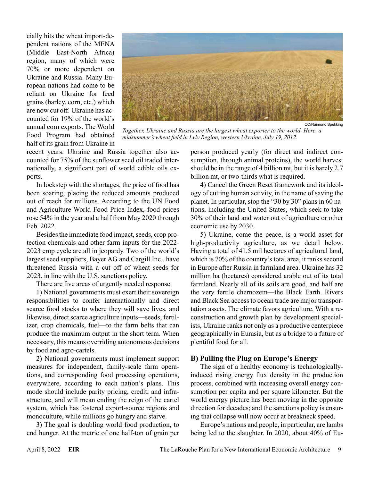cially hits the wheat import-dependent nations of the MENA (Middle East-North Africa) region, many of which were 70% or more dependent on Ukraine and Russia. Many European nations had come to be reliant on Ukraine for feed grains (barley, corn, etc.) which are now cut off. Ukraine has accounted for 19% of the world's annual corn exports. The World Food Program had obtained half of its grain from Ukraine in



CC/Raimond Sr

*Together, Ukraine and Russia are the largest wheat exporter to the world. Here, a midsummer's wheat field in Lviv Region, western Ukraine, July 19, 2012.*

recent years. Ukraine and Russia together also accounted for 75% of the sunflower seed oil traded internationally, a significant part of world edible oils exports.

In lockstep with the shortages, the price of food has been soaring, placing the reduced amounts produced out of reach for millions. According to the UN Food and Agriculture World Food Price Index, food prices rose 54% in the year and a half from May 2020 through Feb. 2022.

Besides the immediate food impact, seeds, crop protection chemicals and other farm inputs for the 2022- 2023 crop cycle are all in jeopardy. Two of the world's largest seed suppliers, Bayer AG and Cargill Inc., have threatened Russia with a cut off of wheat seeds for 2023, in line with the U.S. sanctions policy.

There are five areas of urgently needed response.

1) National governments must exert their sovereign responsibilities to confer internationally and direct scarce food stocks to where they will save lives, and likewise, direct scarce agriculture inputs—seeds, fertilizer, crop chemicals, fuel—to the farm belts that can produce the maximum output in the short term. When necessary, this means overriding autonomous decisions by food and agro-cartels.

2) National governments must implement support measures for independent, family-scale farm operations, and corresponding food processing operations, everywhere, according to each nation's plans. This mode should include parity pricing, credit, and infrastructure, and will mean ending the reign of the cartel system, which has fostered export-source regions and monoculture, while millions go hungry and starve.

3) The goal is doubling world food production, to end hunger. At the metric of one half-ton of grain per person produced yearly (for direct and indirect consumption, through animal proteins), the world harvest should be in the range of 4 billion mt, but it is barely 2.7 billion mt, or two-thirds what is required.

4) Cancel the Green Reset framework and its ideology of cutting human activity, in the name of saving the planet. In particular, stop the "30 by 30" plans in 60 nations, including the United States, which seek to take 30% of their land and water out of agriculture or other economic use by 2030.

5) Ukraine, come the peace, is a world asset for high-productivity agriculture, as we detail below. Having a total of 41.5 mil hectares of agricultural land, which is 70% of the country's total area, it ranks second in Europe after Russia in farmland area. Ukraine has 32 million ha (hectares) considered arable out of its total farmland. Nearly all of its soils are good, and half are the very fertile chernozem—the Black Earth. Rivers and Black Sea access to ocean trade are major transportation assets. The climate favors agriculture. With a reconstruction and growth plan by development specialists, Ukraine ranks not only as a productive centerpiece geographically in Eurasia, but as a bridge to a future of plentiful food for all.

#### **B) Pulling the Plug on Europe's Energy**

The sign of a healthy economy is technologicallyinduced rising energy flux density in the production process, combined with increasing overall energy consumption per capita and per square kilometer. But the world energy picture has been moving in the opposite direction for decades; and the sanctions policy is ensuring that collapse will now occur at breakneck speed.

Europe's nations and people, in particular, are lambs being led to the slaughter. In 2020, about 40% of Eu-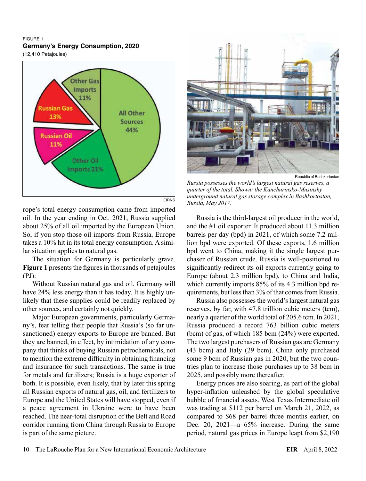#### FIGURE 1 **Germany's Energy Consumption, 2020**

(12,410 Petajoules)



EIRNS

rope's total energy consumption came from imported oil. In the year ending in Oct. 2021, Russia supplied about 25% of all oil imported by the European Union. So, if you stop those oil imports from Russia, Europe takes a 10% hit in its total energy consumption. A similar situation applies to natural gas.

The situation for Germany is particularly grave. **Figure 1** presents the figures in thousands of petajoules (PJ):

Without Russian natural gas and oil, Germany will have 24% less energy than it has today. It is highly unlikely that these supplies could be readily replaced by other sources, and certainly not quickly.

Major European governments, particularly Germany's, fear telling their people that Russia's (so far unsanctioned) energy exports to Europe are banned. But they are banned, in effect, by intimidation of any company that thinks of buying Russian petrochemicals, not to mention the extreme difficulty in obtaining financing and insurance for such transactions. The same is true for metals and fertilizers; Russia is a huge exporter of both. It is possible, even likely, that by later this spring all Russian exports of natural gas, oil, and fertilizers to Europe and the United States will have stopped, even if a peace agreement in Ukraine were to have been reached. The near-total disruption of the Belt and Road corridor running from China through Russia to Europe is part of the same picture.



Republic of Bashkortostan

*Russia possesses the world's largest natural gas reserves, a quarter of the total. Shown: the Kanchurinsko-Musinsky underground natural gas storage complex in Bashkortostan, Russia, May 2017.*

Russia is the third-largest oil producer in the world, and the #1 oil exporter. It produced about 11.3 million barrels per day (bpd) in 2021, of which some 7.2 million bpd were exported. Of these exports, 1.6 million bpd went to China, making it the single largest purchaser of Russian crude. Russia is well-positioned to significantly redirect its oil exports currently going to Europe (about 2.3 million bpd), to China and India, which currently imports 85% of its 4.3 million bpd requirements, but less than 3% of that comes from Russia.

Russia also possesses the world's largest natural gas reserves, by far, with 47.8 trillion cubic meters (tcm), nearly a quarter of the world total of 205.6 tcm. In 2021, Russia produced a record 763 billion cubic meters (bcm) of gas, of which 185 bcm (24%) were exported. The two largest purchasers of Russian gas are Germany (43 bcm) and Italy (29 bcm). China only purchased some 9 bcm of Russian gas in 2020, but the two countries plan to increase those purchases up to 38 bcm in 2025, and possibly more thereafter.

Energy prices are also soaring, as part of the global hyper-inflation unleashed by the global speculative bubble of financial assets. West Texas Intermediate oil was trading at \$112 per barrel on March 21, 2022, as compared to \$68 per barrel three months earlier, on Dec. 20, 2021—a 65% increase. During the same period, natural gas prices in Europe leapt from \$2,190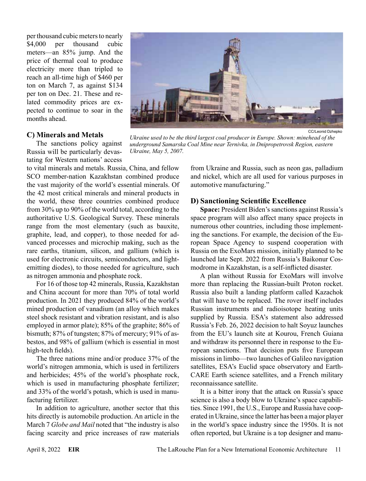per thousand cubic meters to nearly \$4,000 per thousand cubic meters—an 85% jump. And the price of thermal coal to produce electricity more than tripled to reach an all-time high of \$460 per ton on March 7, as against \$134 per ton on Dec. 21. These and related commodity prices are expected to continue to soar in the months ahead.

#### **C) Minerals and Metals**

The sanctions policy against Russia will be particularly devastating for Western nations' access

to vital minerals and metals. Russia, China, and fellow SCO member-nation Kazakhstan combined produce the vast majority of the world's essential minerals. Of the 42 most critical minerals and mineral products in the world, these three countries combined produce from 30% up to 90% of the world total, according to the authoritative U.S. Geological Survey. These minerals range from the most elementary (such as bauxite, graphite, lead, and copper), to those needed for advanced processes and microchip making, such as the rare earths, titanium, silicon, and gallium (which is used for electronic circuits, semiconductors, and lightemitting diodes), to those needed for agriculture, such as nitrogen ammonia and phosphate rock.

For 16 of those top 42 minerals, Russia, Kazakhstan and China account for more than 70% of total world production. In 2021 they produced 84% of the world's mined production of vanadium (an alloy which makes steel shock resistant and vibration resistant, and is also employed in armor plate); 85% of the graphite; 86% of bismuth; 87% of tungsten; 87% of mercury; 91% of asbestos, and 98% of gallium (which is essential in most high-tech fields).

The three nations mine and/or produce 37% of the world's nitrogen ammonia, which is used in fertilizers and herbicides; 45% of the world's phosphate rock, which is used in manufacturing phosphate fertilizer; and 33% of the world's potash, which is used in manufacturing fertilizer.

In addition to agriculture, another sector that this hits directly is automobile production. An article in the March 7 *Globe and Mail* noted that "the industry is also facing scarcity and price increases of raw materials



#### **D) Sanctioning Scientific Excellence**

automotive manufacturing."

**Space:** President Biden's sanctions against Russia's space program will also affect many space projects in numerous other countries, including those implementing the sanctions. For example, the decision of the European Space Agency to suspend cooperation with Russia on the ExoMars mission, initially planned to be launched late Sept. 2022 from Russia's Baikonur Cosmodrome in Kazakhstan, is a self-inflicted disaster.

A plan without Russia for ExoMars will involve more than replacing the Russian-built Proton rocket. Russia also built a landing platform called Kazachok that will have to be replaced. The rover itself includes Russian instruments and radioisotope heating units supplied by Russia. ESA's statement also addressed Russia's Feb. 26, 2022 decision to halt Soyuz launches from the EU's launch site at Kourou, French Guiana and withdraw its personnel there in response to the European sanctions. That decision puts five European missions in limbo—two launches of Galileo navigation satellites, ESA's Euclid space observatory and Earth-CARE Earth science satellites, and a French military reconnaissance satellite.

It is a bitter irony that the attack on Russia's space science is also a body blow to Ukraine's space capabilities. Since 1991, the U.S., Europe and Russia have cooperated in Ukraine, since the latter has been a major player in the world's space industry since the 1950s. It is not often reported, but Ukraine is a top designer and manu-



CC/Leonid Dzhepko *Ukraine used to be the third largest coal producer in Europe. Shown: minehead of the*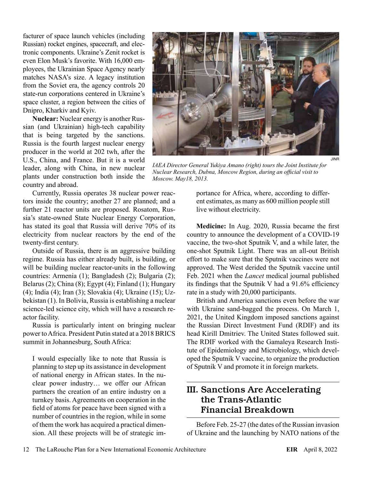facturer of space launch vehicles (including Russian) rocket engines, spacecraft, and electronic components. Ukraine's Zenit rocket is even Elon Musk's favorite. With 16,000 employees, the Ukrainian Space Agency nearly matches NASA's size. A legacy institution from the Soviet era, the agency controls 20 state-run corporations centered in Ukraine's space cluster, a region between the cities of Dnipro, Kharkiv and Kyiv.

**Nuclear:** Nuclear energy is another Russian (and Ukrainian) high-tech capability that is being targeted by the sanctions. Russia is the fourth largest nuclear energy producer in the world at 202 twh, after the U.S., China, and France. But it is a world leader, along with China, in new nuclear plants under construction both inside the country and abroad.

Currently, Russia operates 38 nuclear power reactors inside the country; another 27 are planned; and a further 21 reactor units are proposed. Rosatom, Russia's state-owned State Nuclear Energy Corporation, has stated its goal that Russia will derive 70% of its electricity from nuclear reactors by the end of the twenty-first century.

Outside of Russia, there is an aggressive building regime. Russia has either already built, is building, or will be building nuclear reactor-units in the following countries: Armenia (1); Bangladesh (2); Bulgaria (2); Belarus (2); China (8); Egypt (4); Finland (1); Hungary (4); India (4); Iran (3); Slovakia (4); Ukraine (15); Uzbekistan (1). In Bolivia, Russia is establishing a nuclear science-led science city, which will have a research reactor facility.

Russia is particularly intent on bringing nuclear power to Africa. President Putin stated at a 2018 BRICS summit in Johannesburg, South Africa:

I would especially like to note that Russia is planning to step up its assistance in development of national energy in African states. In the nuclear power industry… we offer our African partners the creation of an entire industry on a turnkey basis. Agreements on cooperation in the field of atoms for peace have been signed with a number of countries in the region, while in some of them the work has acquired a practical dimension. All these projects will be of strategic im-



*IAEA Director General Yukiya Amano (right) tours the Joint Institute for Nuclear Research, Dubna, Moscow Region, during an official visit to Moscow. May18, 2013.*

portance for Africa, where, according to different estimates, as many as 600 million people still live without electricity.

**Medicine:** In Aug. 2020, Russia became the first country to announce the development of a COVID-19 vaccine, the two-shot Sputnik V, and a while later, the one-shot Sputnik Light. There was an all-out British effort to make sure that the Sputnik vaccines were not approved. The West derided the Sputnik vaccine until Feb. 2021 when the *Lancet* medical journal published its findings that the Sputnik V had a 91.6% efficiency rate in a study with 20,000 participants.

British and America sanctions even before the war with Ukraine sand-bagged the process. On March 1, 2021, the United Kingdom imposed sanctions against the Russian Direct Investment Fund (RDIF) and its head Kirill Dmitriev. The United States followed suit. The RDIF worked with the Gamaleya Research Institute of Epidemiology and Microbiology, which developed the Sputnik V vaccine, to organize the production of Sputnik V and promote it in foreign markets.

### III. Sanctions Are Accelerating the Trans-Atlantic Financial Breakdown

Before Feb. 25-27 (the dates of the Russian invasion of Ukraine and the launching by NATO nations of the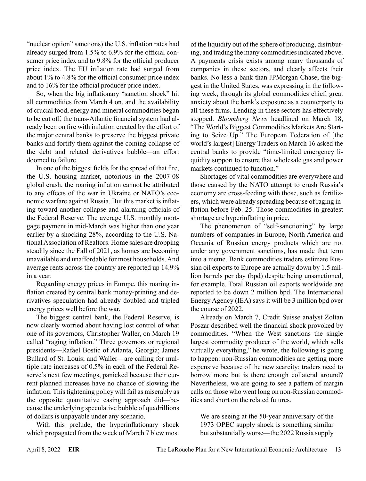"nuclear option" sanctions) the U.S. inflation rates had already surged from 1.5% to 6.9% for the official consumer price index and to 9.8% for the official producer price index. The EU inflation rate had surged from about 1% to 4.8% for the official consumer price index and to 16% for the official producer price index.

So, when the big inflationary "sanction shock" hit all commodities from March 4 on, and the availability of crucial food, energy and mineral commodities began to be cut off, the trans-Atlantic financial system had already been on fire with inflation created by the effort of the major central banks to preserve the biggest private banks and fortify them against the coming collapse of the debt and related derivatives bubble—an effort doomed to failure.

In one of the biggest fields for the spread of that fire, the U.S. housing market, notorious in the 2007-08 global crash, the roaring inflation cannot be attributed to any effects of the war in Ukraine or NATO's economic warfare against Russia. But this market is inflating toward another collapse and alarming officials of the Federal Reserve. The average U.S. monthly mortgage payment in mid-March was higher than one year earlier by a shocking 28%, according to the U.S. National Association of Realtors. Home sales are dropping steadily since the Fall of 2021, as homes are becoming unavailable and unaffordable for most households. And average rents across the country are reported up 14.9% in a year.

Regarding energy prices in Europe, this roaring inflation created by central bank money-printing and derivatives speculation had already doubled and tripled energy prices well before the war.

The biggest central bank, the Federal Reserve, is now clearly worried about having lost control of what one of its governors, Christopher Waller, on March 19 called "raging inflation." Three governors or regional presidents—Rafael Bostic of Atlanta, Georgia; James Bullard of St. Louis; and Waller—are calling for multiple rate increases of 0.5% in each of the Federal Reserve's next few meetings, panicked because their current planned increases have no chance of slowing the inflation. This tightening policy will fail as miserably as the opposite quantitative easing approach did—because the underlying speculative bubble of quadrillions of dollars is unpayable under any scenario.

With this prelude, the hyperinflationary shock which propagated from the week of March 7 blew most of the liquidity out of the sphere of producing, distributing, and trading the many commodities indicated above. A payments crisis exists among many thousands of companies in these sectors, and clearly affects their banks. No less a bank than JPMorgan Chase, the biggest in the United States, was expressing in the following week, through its global commodities chief, great anxiety about the bank's exposure as a counterparty to all these firms. Lending in these sectors has effectively stopped. *Bloomberg News* headlined on March 18, "The World's Biggest Commodities Markets Are Starting to Seize Up." The European Federation of [the world's largest] Energy Traders on March 16 asked the central banks to provide "time-limited emergency liquidity support to ensure that wholesale gas and power markets continued to function."

Shortages of vital commodities are everywhere and those caused by the NATO attempt to crush Russia's economy are cross-feeding with those, such as fertilizers, which were already spreading because of raging inflation before Feb. 25. Those commodities in greatest shortage are hyperinflating in price.

The phenomenon of "self-sanctioning" by large numbers of companies in Europe, North America and Oceania of Russian energy products which are not under any government sanctions, has made that term into a meme. Bank commodities traders estimate Russian oil exports to Europe are actually down by 1.5 million barrels per day (bpd) despite being unsanctioned, for example. Total Russian oil exports worldwide are reported to be down 2 million bpd. The International Energy Agency (IEA) says it will be 3 million bpd over the course of 2022.

Already on March 7, Credit Suisse analyst Zoltan Poszar described well the financial shock provoked by commodities. "When the West sanctions the single largest commodity producer of the world, which sells virtually everything," he wrote, the following is going to happen: non-Russian commodities are getting more expensive because of the new scarcity; traders need to borrow more but is there enough collateral around? Nevertheless, we are going to see a pattern of margin calls on those who went long on non-Russian commodities and short on the related futures.

We are seeing at the 50-year anniversary of the 1973 OPEC supply shock is something similar but substantially worse—the 2022 Russia supply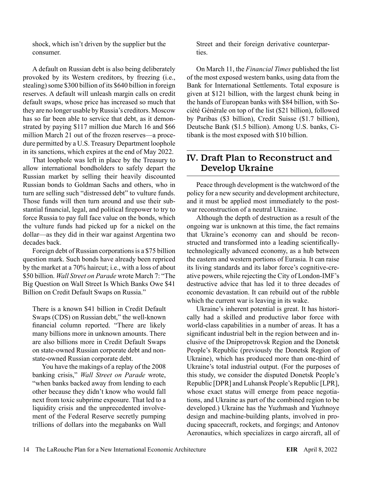shock, which isn't driven by the supplier but the consumer.

A default on Russian debt is also being deliberately provoked by its Western creditors, by freezing (i.e., stealing) some \$300 billion of its \$640 billion in foreign reserves. A default will unleash margin calls on credit default swaps, whose price has increased so much that they are no longer usable by Russia's creditors. Moscow has so far been able to service that debt, as it demonstrated by paying \$117 million due March 16 and \$66 million March 21 out of the frozen reserves—a procedure permitted by a U.S. Treasury Department loophole in its sanctions, which expires at the end of May 2022.

That loophole was left in place by the Treasury to allow international bondholders to safely depart the Russian market by selling their heavily discounted Russian bonds to Goldman Sachs and others, who in turn are selling such "distressed debt" to vulture funds. Those funds will then turn around and use their substantial financial, legal, and political firepower to try to force Russia to pay full face value on the bonds, which the vulture funds had picked up for a nickel on the dollar—as they did in their war against Argentina two decades back.

Foreign debt of Russian corporations is a \$75 billion question mark. Such bonds have already been repriced by the market at a 70% haircut; i.e., with a loss of about \$50 billion. *Wall Street on Parade* wrote March 7: "The Big Question on Wall Street Is Which Banks Owe \$41 Billion on Credit Default Swaps on Russia."

There is a known \$41 billion in Credit Default Swaps (CDS) on Russian debt," the well-known financial column reported. "There are likely many billions more in unknown amounts. There are also billions more in Credit Default Swaps on state-owned Russian corporate debt and nonstate-owned Russian corporate debt.

You have the makings of a replay of the 2008 banking crisis," *Wall Street on Parade* wrote, "when banks backed away from lending to each other because they didn't know who would fall next from toxic subprime exposure. That led to a liquidity crisis and the unprecedented involvement of the Federal Reserve secretly pumping trillions of dollars into the megabanks on Wall

Street and their foreign derivative counterparties.

On March 11, the *Financial Times* published the list of the most exposed western banks, using data from the Bank for International Settlements. Total exposure is given at \$121 billion, with the largest chunk being in the hands of European banks with \$84 billion, with Société Générale on top of the list (\$21 billion), followed by Paribas (\$3 billion), Credit Suisse (\$1.7 billion), Deutsche Bank (\$1.5 billion). Among U.S. banks, Citibank is the most exposed with \$10 billion.

## IV. Draft Plan to Reconstruct and Develop Ukraine

Peace through development is the watchword of the policy for a new security and development architecture, and it must be applied most immediately to the postwar reconstruction of a neutral Ukraine.

Although the depth of destruction as a result of the ongoing war is unknown at this time, the fact remains that Ukraine's economy can and should be reconstructed and transformed into a leading scientificallytechnologically advanced economy, as a hub between the eastern and western portions of Eurasia. It can raise its living standards and its labor force's cognitive-creative powers, while rejecting the City of London-IMF's destructive advice that has led it to three decades of economic devastation. It can rebuild out of the rubble which the current war is leaving in its wake.

Ukraine's inherent potential is great. It has historically had a skilled and productive labor force with world-class capabilities in a number of areas. It has a significant industrial belt in the region between and inclusive of the Dnipropetrovsk Region and the Donetsk People's Republic (previously the Donetsk Region of Ukraine), which has produced more than one-third of Ukraine's total industrial output. (For the purposes of this study, we consider the disputed Donetsk People's Republic [DPR] and Luhansk People's Republic [LPR], whose exact status will emerge from peace negotiations, and Ukraine as part of the combined region to be developed.) Ukraine has the Yuzhmash and Yuzhnoye design and machine-building plants, involved in producing spacecraft, rockets, and forgings; and Antonov Aeronautics, which specializes in cargo aircraft, all of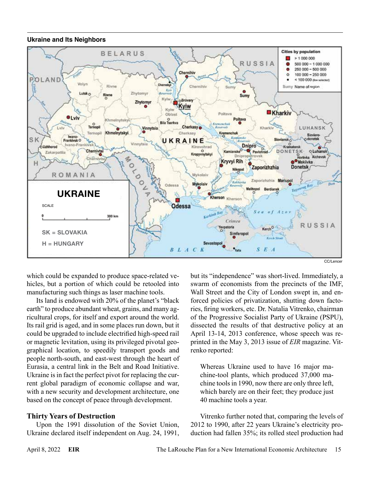#### **Ukraine and Its Neighbors**



CC/Lencer

which could be expanded to produce space-related vehicles, but a portion of which could be retooled into manufacturing such things as laser machine tools.

Its land is endowed with 20% of the planet's "black earth" to produce abundant wheat, grains, and many agricultural crops, for itself and export around the world. Its rail grid is aged, and in some places run down, but it could be upgraded to include electrified high-speed rail or magnetic levitation, using its privileged pivotal geographical location, to speedily transport goods and people north-south, and east-west through the heart of Eurasia, a central link in the Belt and Road Initiative. Ukraine is in fact the perfect pivot for replacing the current global paradigm of economic collapse and war, with a new security and development architecture, one based on the concept of peace through development.

#### **Thirty Years of Destruction**

Upon the 1991 dissolution of the Soviet Union, Ukraine declared itself independent on Aug. 24, 1991, but its "independence" was short-lived. Immediately, a swarm of economists from the precincts of the IMF, Wall Street and the City of London swept in, and enforced policies of privatization, shutting down factories, firing workers, etc. Dr. Natalia Vitrenko, chairman of the Progressive Socialist Party of Ukraine (PSPU), dissected the results of that destructive policy at an April 13-14, 2013 conference, whose speech was reprinted in the May 3, 2013 issue of *EIR* magazine. Vitrenko reported:

Whereas Ukraine used to have 16 major machine-tool plants, which produced 37,000 machine tools in 1990, now there are only three left, which barely are on their feet; they produce just 40 machine tools a year.

Vitrenko further noted that, comparing the levels of 2012 to 1990, after 22 years Ukraine's electricity production had fallen 35%; its rolled steel production had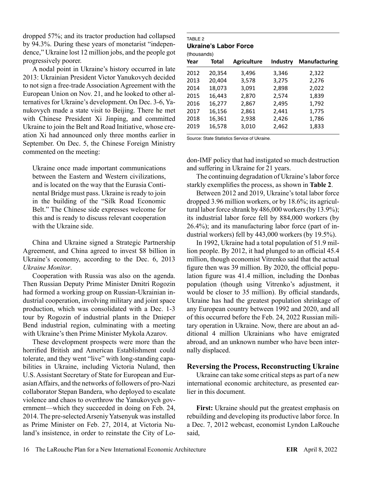dropped 57%; and its tractor production had collapsed by 94.3%. During these years of monetarist "independence," Ukraine lost 12 million jobs, and the people got progressively poorer.

A nodal point in Ukraine's history occurred in late 2013: Ukrainian President Victor Yanukovych decided to not sign a free-trade Association Agreement with the European Union on Nov. 21, and he looked to other alternatives for Ukraine's development. On Dec. 3-6, Yanukovych made a state visit to Beijing. There he met with Chinese President Xi Jinping, and committed Ukraine to join the Belt and Road Initiative, whose creation Xi had announced only three months earlier in September. On Dec. 5, the Chinese Foreign Ministry commented on the meeting:

Ukraine once made important communications between the Eastern and Western civilizations, and is located on the way that the Eurasia Continental Bridge must pass. Ukraine is ready to join in the building of the "Silk Road Economic Belt." The Chinese side expresses welcome for this and is ready to discuss relevant cooperation with the Ukraine side.

China and Ukraine signed a Strategic Partnership Agreement, and China agreed to invest \$8 billion in Ukraine's economy, according to the Dec. 6, 2013 *Ukraine Monitor*.

Cooperation with Russia was also on the agenda. Then Russian Deputy Prime Minister Dmitri Rogozin had formed a working group on Russian-Ukrainian industrial cooperation, involving military and joint space production, which was consolidated with a Dec. 1-3 tour by Rogozin of industrial plants in the Dnieper Bend industrial region, culminating with a meeting with Ukraine's then Prime Minister Mykola Azarov.

These development prospects were more than the horrified British and American Establishment could tolerate, and they went "live" with long-standing capabilities in Ukraine, including Victoria Nuland, then U.S. Assistant Secretary of State for European and Eurasian Affairs, and the networks of followers of pro-Nazi collaborator Stepan Bandera, who deployed to escalate violence and chaos to overthrow the Yanukovych government—which they succeeded in doing on Feb. 24, 2014. The pre-selected Arseniy Yatsenyuk was installed as Prime Minister on Feb. 27, 2014, at Victoria Nuland's insistence, in order to reinstate the City of Lo-

#### TARI F 2 **Ukraine's Labor Force**

| <b>Total</b> | <b>Agriculture</b> | Industry | <b>Manufacturing</b> |
|--------------|--------------------|----------|----------------------|
| 20,354       | 3,496              | 3,346    | 2,322                |
| 20,404       | 3,578              | 3,275    | 2,276                |
| 18,073       | 3,091              | 2,898    | 2,022                |
| 16,443       | 2,870              | 2,574    | 1,839                |
| 16,277       | 2,867              | 2,495    | 1,792                |
| 16,156       | 2,861              | 2,441    | 1,775                |
| 16,361       | 2,938              | 2,426    | 1,786                |
| 16,578       | 3,010              | 2,462    | 1,833                |
|              |                    |          |                      |

Source: State Statistics Service of Ukraine.

don-IMF policy that had instigated so much destruction and suffering in Ukraine for 21 years.

The continuing degradation of Ukraine's labor force starkly exemplifies the process, as shown in **Table 2**.

Between 2012 and 2019, Ukraine's total labor force dropped 3.96 million workers, or by 18.6%; its agricultural labor force shrank by 486,000 workers (by 13.9%); its industrial labor force fell by 884,000 workers (by 26.4%); and its manufacturing labor force (part of industrial workers) fell by 443,000 workers (by 19.5%).

In 1992, Ukraine had a total population of 51.9 million people. By 2012, it had plunged to an official 45.4 million, though economist Vitrenko said that the actual figure then was 39 million. By 2020, the official population figure was 41.4 million, including the Donbas population (though using Vitrenko's adjustment, it would be closer to 35 million). By official standards, Ukraine has had the greatest population shrinkage of any European country between 1992 and 2020, and all of this occurred before the Feb. 24, 2022 Russian military operation in Ukraine. Now, there are about an additional 4 million Ukrainians who have emigrated abroad, and an unknown number who have been internally displaced.

#### **Reversing the Process, Reconstructing Ukraine**

Ukraine can take some critical steps as part of a new international economic architecture, as presented earlier in this document.

**First:** Ukraine should put the greatest emphasis on rebuilding and developing its productive labor force. In a Dec. 7, 2012 webcast, economist Lyndon LaRouche said,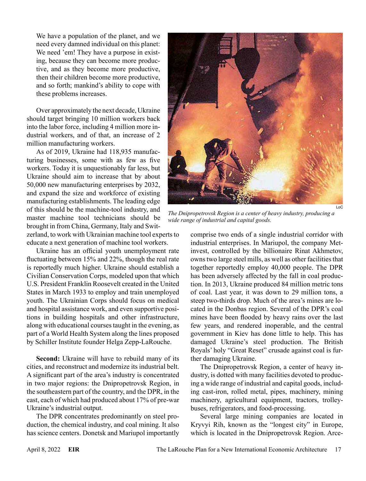We have a population of the planet, and we need every damned individual on this planet: We need 'em! They have a purpose in existing, because they can become more productive, and as they become more productive, then their children become more productive, and so forth; mankind's ability to cope with these problems increases.

Over approximately the next decade, Ukraine should target bringing 10 million workers back into the labor force, including 4 million more industrial workers, and of that, an increase of 2 million manufacturing workers.

As of 2019, Ukraine had 118,935 manufacturing businesses, some with as few as five workers. Today it is unquestionably far less, but Ukraine should aim to increase that by about 50,000 new manufacturing enterprises by 2032, and expand the size and workforce of existing manufacturing establishments. The leading edge of this should be the machine-tool industry, and master machine tool technicians should be brought in from China, Germany, Italy and Swit-

zerland, to work with Ukrainian machine tool experts to educate a next generation of machine tool workers.

Ukraine has an official youth unemployment rate fluctuating between 15% and 22%, though the real rate is reportedly much higher. Ukraine should establish a Civilian Conservation Corps, modeled upon that which U.S. President Franklin Roosevelt created in the United States in March 1933 to employ and train unemployed youth. The Ukrainian Corps should focus on medical and hospital assistance work, and even supportive positions in building hospitals and other infrastructure, along with educational courses taught in the evening, as part of a World Health System along the lines proposed by Schiller Institute founder Helga Zepp-LaRouche.

**Second:** Ukraine will have to rebuild many of its cities, and reconstruct and modernize its industrial belt. A significant part of the area's industry is concentrated in two major regions: the Dnipropetrovsk Region, in the southeastern part of the country, and the DPR, in the east, each of which had produced about 17% of pre-war Ukraine's industrial output.

The DPR concentrates predominantly on steel production, the chemical industry, and coal mining. It also has science centers. Donetsk and Mariupol importantly



*The Dnipropetrovsk Region is a center of heavy industry, producing a wide range of industrial and capital goods.*

comprise two ends of a single industrial corridor with industrial enterprises. In Mariupol, the company Metinvest, controlled by the billionaire Rinat Akhmetov, owns two large steel mills, as well as other facilities that together reportedly employ 40,000 people. The DPR has been adversely affected by the fall in coal production. In 2013, Ukraine produced 84 million metric tons of coal. Last year, it was down to 29 million tons, a steep two-thirds drop. Much of the area's mines are located in the Donbas region. Several of the DPR's coal mines have been flooded by heavy rains over the last few years, and rendered inoperable, and the central government in Kiev has done little to help. This has damaged Ukraine's steel production. The British Royals' holy "Great Reset" crusade against coal is further damaging Ukraine.

The Dnipropetrovsk Region, a center of heavy industry, is dotted with many facilities devoted to producing a wide range of industrial and capital goods, including cast-iron, rolled metal, pipes, machinery, mining machinery, agricultural equipment, tractors, trolleybuses, refrigerators, and food-processing.

Several large mining companies are located in Kryvyi Rih, known as the "longest city" in Europe, which is located in the Dnipropetrovsk Region. Arce-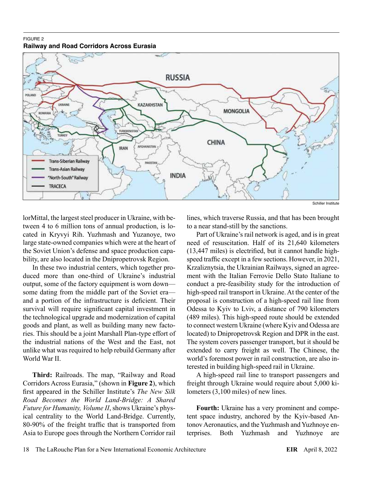#### FIGURE 2 **Railway and Road Corridors Across Eurasia**



lorMittal, the largest steel producer in Ukraine, with between 4 to 6 million tons of annual production, is located in Kryvyi Rih. Yuzhmash and Yuzanoye, two large state-owned companies which were at the heart of the Soviet Union's defense and space production capability, are also located in the Dnipropetrovsk Region.

In these two industrial centers, which together produced more than one-third of Ukraine's industrial output, some of the factory equipment is worn down some dating from the middle part of the Soviet era and a portion of the infrastructure is deficient. Their survival will require significant capital investment in the technological upgrade and modernization of capital goods and plant, as well as building many new factories. This should be a joint Marshall Plan-type effort of the industrial nations of the West and the East, not unlike what was required to help rebuild Germany after World War II.

**Third:** Railroads. The map, "Railway and Road Corridors Across Eurasia," (shown in **Figure 2**), which first appeared in the Schiller Institute's *The New Silk Road Becomes the World Land-Bridge: A Shared Future for Humanity, Volume II*, shows Ukraine's physical centrality to the World Land-Bridge. Currently, 80-90% of the freight traffic that is transported from Asia to Europe goes through the Northern Corridor rail lines, which traverse Russia, and that has been brought to a near stand-still by the sanctions.

Part of Ukraine's rail network is aged, and is in great need of resuscitation. Half of its 21,640 kilometers (13,447 miles) is electrified, but it cannot handle highspeed traffic except in a few sections. However, in 2021, Krzaliznytsia, the Ukrainian Railways, signed an agreement with the Italian Ferrovie Dello Stato Italiane to conduct a pre-feasibility study for the introduction of high-speed rail transport in Ukraine. At the center of the proposal is construction of a high-speed rail line from Odessa to Kyiv to Lviv, a distance of 790 kilometers (489 miles). This high-speed route should be extended to connect western Ukraine (where Kyiv and Odessa are located) to Dnipropetrovsk Region and DPR in the east. The system covers passenger transport, but it should be extended to carry freight as well. The Chinese, the world's foremost power in rail construction, are also interested in building high-speed rail in Ukraine.

A high-speed rail line to transport passengers and freight through Ukraine would require about 5,000 kilometers (3,100 miles) of new lines.

**Fourth:** Ukraine has a very prominent and competent space industry, anchored by the Kyiv-based Antonov Aeronautics, and the Yuzhmash and Yuzhnoye enterprises. Both Yuzhmash and Yuzhnoye are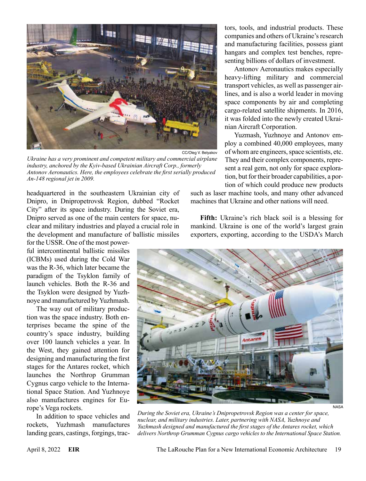

*Ukraine has a very prominent and competent military and commercial airplane industry, anchored by the Kyiv-based Ukrainian Aircraft Corp., formerly Antonov Aeronautics. Here, the employees celebrate the first serially produced An-148 regional jet in 2009.*

headquartered in the southeastern Ukrainian city of Dnipro, in Dnipropetrovsk Region, dubbed "Rocket City" after its space industry. During the Soviet era, Dnipro served as one of the main centers for space, nuclear and military industries and played a crucial role in the development and manufacture of ballistic missiles

for the USSR. One of the most powerful intercontinental ballistic missiles (ICBMs) used during the Cold War was the R-36, which later became the paradigm of the Tsyklon family of launch vehicles. Both the R-36 and the Tsyklon were designed by Yuzhnoye and manufactured by Yuzhmash.

The way out of military production was the space industry. Both enterprises became the spine of the country's space industry, building over 100 launch vehicles a year. In the West, they gained attention for designing and manufacturing the first stages for the Antares rocket, which launches the Northrop Grumman Cygnus cargo vehicle to the International Space Station. And Yuzhnoye also manufactures engines for Europe's Vega rockets.

In addition to space vehicles and rockets, Yuzhmash manufactures landing gears, castings, forgings, tractors, tools, and industrial products. These companies and others of Ukraine's research and manufacturing facilities, possess giant hangars and complex test benches, representing billions of dollars of investment.

Antonov Aeronautics makes especially heavy-lifting military and commercial transport vehicles, as well as passenger airlines, and is also a world leader in moving space components by air and completing cargo-related satellite shipments. In 2016, it was folded into the newly created Ukrainian Aircraft Corporation.

Yuzmash, Yuzhnoye and Antonov employ a combined 40,000 employees, many of whom are engineers, space scientists, etc. They and their complex components, represent a real gem, not only for space exploration, but for their broader capabilities, a portion of which could produce new products

such as laser machine tools, and many other advanced machines that Ukraine and other nations will need.

**Fifth:** Ukraine's rich black soil is a blessing for mankind. Ukraine is one of the world's largest grain exporters, exporting, according to the USDA's March



*During the Soviet era, Ukraine's Dnipropetrovsk Region was a center for space, nuclear, and military industries. Later, partnering with NASA, Yuzhnoye and Yuzhmash designed and manufactured the first stages of the Antares rocket, which delivers Northrop Grumman Cygnus cargo vehicles to the International Space Station.*